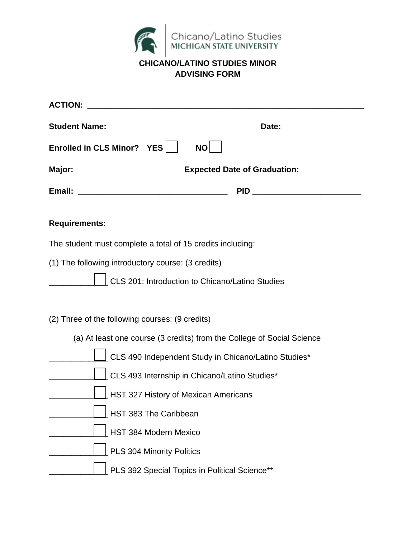

## **CHICANO/LATINO STUDIES MINOR ADVISING FORM**

| <b>ACTION:</b>                                                         |
|------------------------------------------------------------------------|
|                                                                        |
| Enrolled in CLS Minor? YES    <br>NO <b>NO</b>                         |
|                                                                        |
| PID _________________________                                          |
| <b>Requirements:</b>                                                   |
| The student must complete a total of 15 credits including:             |
| (1) The following introductory course: (3 credits)                     |
| CLS 201: Introduction to Chicano/Latino Studies                        |
|                                                                        |
| (2) Three of the following courses: (9 credits)                        |
| (a) At least one course (3 credits) from the College of Social Science |
| CLS 490 Independent Study in Chicano/Latino Studies*                   |
| CLS 493 Internship in Chicano/Latino Studies*                          |
| HST 327 History of Mexican Americans                                   |
| HST 383 The Caribbean                                                  |

- HST 384 Modern Mexico
	- PLS 304 Minority Politics
		- PLS 392 Special Topics in Political Science\*\*